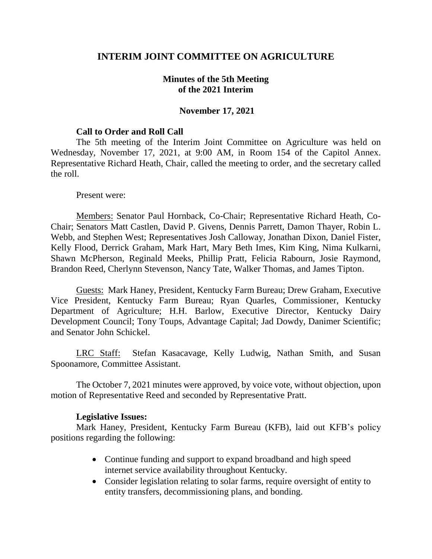# **INTERIM JOINT COMMITTEE ON AGRICULTURE**

## **Minutes of the 5th Meeting of the 2021 Interim**

### **November 17, 2021**

#### **Call to Order and Roll Call**

The 5th meeting of the Interim Joint Committee on Agriculture was held on Wednesday, November 17, 2021, at 9:00 AM, in Room 154 of the Capitol Annex. Representative Richard Heath, Chair, called the meeting to order, and the secretary called the roll.

#### Present were:

Members: Senator Paul Hornback, Co-Chair; Representative Richard Heath, Co-Chair; Senators Matt Castlen, David P. Givens, Dennis Parrett, Damon Thayer, Robin L. Webb, and Stephen West; Representatives Josh Calloway, Jonathan Dixon, Daniel Fister, Kelly Flood, Derrick Graham, Mark Hart, Mary Beth Imes, Kim King, Nima Kulkarni, Shawn McPherson, Reginald Meeks, Phillip Pratt, Felicia Rabourn, Josie Raymond, Brandon Reed, Cherlynn Stevenson, Nancy Tate, Walker Thomas, and James Tipton.

Guests: Mark Haney, President, Kentucky Farm Bureau; Drew Graham, Executive Vice President, Kentucky Farm Bureau; Ryan Quarles, Commissioner, Kentucky Department of Agriculture; H.H. Barlow, Executive Director, Kentucky Dairy Development Council; Tony Toups, Advantage Capital; Jad Dowdy, Danimer Scientific; and Senator John Schickel.

LRC Staff: Stefan Kasacavage, Kelly Ludwig, Nathan Smith, and Susan Spoonamore, Committee Assistant.

The October 7, 2021 minutes were approved, by voice vote, without objection, upon motion of Representative Reed and seconded by Representative Pratt.

#### **Legislative Issues:**

Mark Haney, President, Kentucky Farm Bureau (KFB), laid out KFB's policy positions regarding the following:

- Continue funding and support to expand broadband and high speed internet service availability throughout Kentucky.
- Consider legislation relating to solar farms, require oversight of entity to entity transfers, decommissioning plans, and bonding.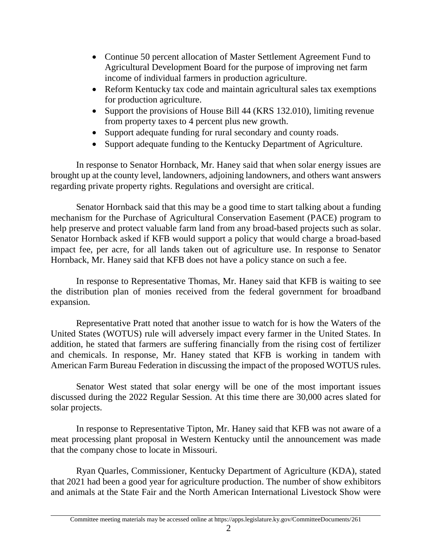- Continue 50 percent allocation of Master Settlement Agreement Fund to Agricultural Development Board for the purpose of improving net farm income of individual farmers in production agriculture.
- Reform Kentucky tax code and maintain agricultural sales tax exemptions for production agriculture.
- Support the provisions of House Bill 44 (KRS 132.010), limiting revenue from property taxes to 4 percent plus new growth.
- Support adequate funding for rural secondary and county roads.
- Support adequate funding to the Kentucky Department of Agriculture.

In response to Senator Hornback, Mr. Haney said that when solar energy issues are brought up at the county level, landowners, adjoining landowners, and others want answers regarding private property rights. Regulations and oversight are critical.

Senator Hornback said that this may be a good time to start talking about a funding mechanism for the Purchase of Agricultural Conservation Easement (PACE) program to help preserve and protect valuable farm land from any broad-based projects such as solar. Senator Hornback asked if KFB would support a policy that would charge a broad-based impact fee, per acre, for all lands taken out of agriculture use. In response to Senator Hornback, Mr. Haney said that KFB does not have a policy stance on such a fee.

In response to Representative Thomas, Mr. Haney said that KFB is waiting to see the distribution plan of monies received from the federal government for broadband expansion.

Representative Pratt noted that another issue to watch for is how the Waters of the United States (WOTUS) rule will adversely impact every farmer in the United States. In addition, he stated that farmers are suffering financially from the rising cost of fertilizer and chemicals. In response, Mr. Haney stated that KFB is working in tandem with American Farm Bureau Federation in discussing the impact of the proposed WOTUS rules.

Senator West stated that solar energy will be one of the most important issues discussed during the 2022 Regular Session. At this time there are 30,000 acres slated for solar projects.

In response to Representative Tipton, Mr. Haney said that KFB was not aware of a meat processing plant proposal in Western Kentucky until the announcement was made that the company chose to locate in Missouri.

Ryan Quarles, Commissioner, Kentucky Department of Agriculture (KDA), stated that 2021 had been a good year for agriculture production. The number of show exhibitors and animals at the State Fair and the North American International Livestock Show were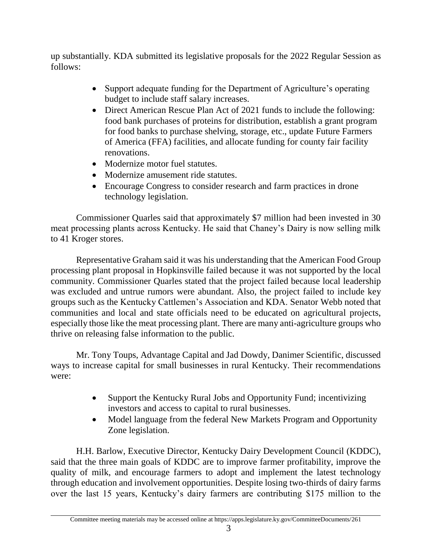up substantially. KDA submitted its legislative proposals for the 2022 Regular Session as follows:

- Support adequate funding for the Department of Agriculture's operating budget to include staff salary increases.
- Direct American Rescue Plan Act of 2021 funds to include the following: food bank purchases of proteins for distribution, establish a grant program for food banks to purchase shelving, storage, etc., update Future Farmers of America (FFA) facilities, and allocate funding for county fair facility renovations.
- Modernize motor fuel statutes.
- Modernize amusement ride statutes.
- Encourage Congress to consider research and farm practices in drone technology legislation.

Commissioner Quarles said that approximately \$7 million had been invested in 30 meat processing plants across Kentucky. He said that Chaney's Dairy is now selling milk to 41 Kroger stores.

Representative Graham said it was his understanding that the American Food Group processing plant proposal in Hopkinsville failed because it was not supported by the local community. Commissioner Quarles stated that the project failed because local leadership was excluded and untrue rumors were abundant. Also, the project failed to include key groups such as the Kentucky Cattlemen's Association and KDA. Senator Webb noted that communities and local and state officials need to be educated on agricultural projects, especially those like the meat processing plant. There are many anti-agriculture groups who thrive on releasing false information to the public.

Mr. Tony Toups, Advantage Capital and Jad Dowdy, Danimer Scientific, discussed ways to increase capital for small businesses in rural Kentucky. Their recommendations were:

- Support the Kentucky Rural Jobs and Opportunity Fund; incentivizing investors and access to capital to rural businesses.
- Model language from the federal New Markets Program and Opportunity Zone legislation.

H.H. Barlow, Executive Director, Kentucky Dairy Development Council (KDDC), said that the three main goals of KDDC are to improve farmer profitability, improve the quality of milk, and encourage farmers to adopt and implement the latest technology through education and involvement opportunities. Despite losing two-thirds of dairy farms over the last 15 years, Kentucky's dairy farmers are contributing \$175 million to the